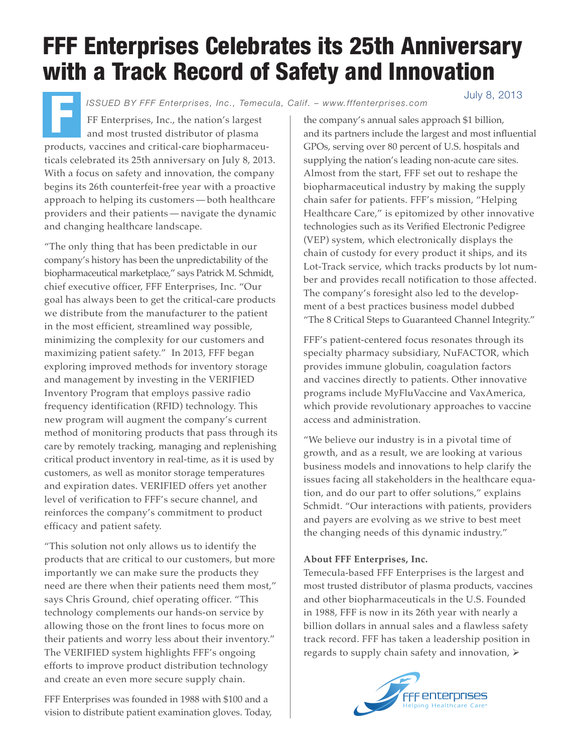## FFF Enterprises Celebrates its 25th Anniversary with a Track Record of Safety and Innovation

F July 8, 2013 *ISSUED BY FFF Enterprises, Inc., Temecula, Calif. – www.fffenterprises.com*

FF Enterprises, Inc., the nation's largest and most trusted distributor of plasma products, vaccines and critical-care biopharmaceuticals celebrated its 25th anniversary on July 8, 2013. With a focus on safety and innovation, the company begins its 26th counterfeit-free year with a proactive approach to helping its customers — both healthcare providers and their patients — navigate the dynamic and changing healthcare landscape.

"The only thing that has been predictable in our company's history has been the unpredictability of the biopharmaceutical marketplace," says Patrick M. Schmidt, chief executive officer, FFF Enterprises, Inc. "Our goal has always been to get the critical-care products we distribute from the manufacturer to the patient in the most efficient, streamlined way possible, minimizing the complexity for our customers and maximizing patient safety." In 2013, FFF began exploring improved methods for inventory storage and management by investing in the VERIFIED Inventory Program that employs passive radio frequency identification (RFID) technology. This new program will augment the company's current method of monitoring products that pass through its care by remotely tracking, managing and replenishing critical product inventory in real-time, as it is used by customers, as well as monitor storage temperatures and expiration dates. VERIFIED offers yet another level of verification to FFF's secure channel, and reinforces the company's commitment to product efficacy and patient safety.

"This solution not only allows us to identify the products that are critical to our customers, but more importantly we can make sure the products they need are there when their patients need them most," says Chris Ground, chief operating officer. "This technology complements our hands-on service by allowing those on the front lines to focus more on their patients and worry less about their inventory." The VERIFIED system highlights FFF's ongoing efforts to improve product distribution technology and create an even more secure supply chain.

FFF Enterprises was founded in 1988 with \$100 and a vision to distribute patient examination gloves. Today,

the company's annual sales approach \$1 billion, and its partners include the largest and most influential GPOs, serving over 80 percent of U.S. hospitals and supplying the nation's leading non-acute care sites. Almost from the start, FFF set out to reshape the biopharmaceutical industry by making the supply chain safer for patients. FFF's mission, "Helping Healthcare Care," is epitomized by other innovative technologies such as its Verified Electronic Pedigree (VEP) system, which electronically displays the chain of custody for every product it ships, and its Lot-Track service, which tracks products by lot number and provides recall notification to those affected. The company's foresight also led to the development of a best practices business model dubbed "The 8 Critical Steps to Guaranteed Channel Integrity."

FFF's patient-centered focus resonates through its specialty pharmacy subsidiary, NuFACTOR, which provides immune globulin, coagulation factors and vaccines directly to patients. Other innovative programs include MyFluVaccine and VaxAmerica, which provide revolutionary approaches to vaccine access and administration.

"We believe our industry is in a pivotal time of growth, and as a result, we are looking at various business models and innovations to help clarify the issues facing all stakeholders in the healthcare equation, and do our part to offer solutions," explains Schmidt. "Our interactions with patients, providers and payers are evolving as we strive to best meet the changing needs of this dynamic industry."

## **About FFF Enterprises, Inc.**

Temecula-based FFF Enterprises is the largest and most trusted distributor of plasma products, vaccines and other biopharmaceuticals in the U.S. Founded in 1988, FFF is now in its 26th year with nearly a billion dollars in annual sales and a flawless safety track record. FFF has taken a leadership position in regards to supply chain safety and innovation,